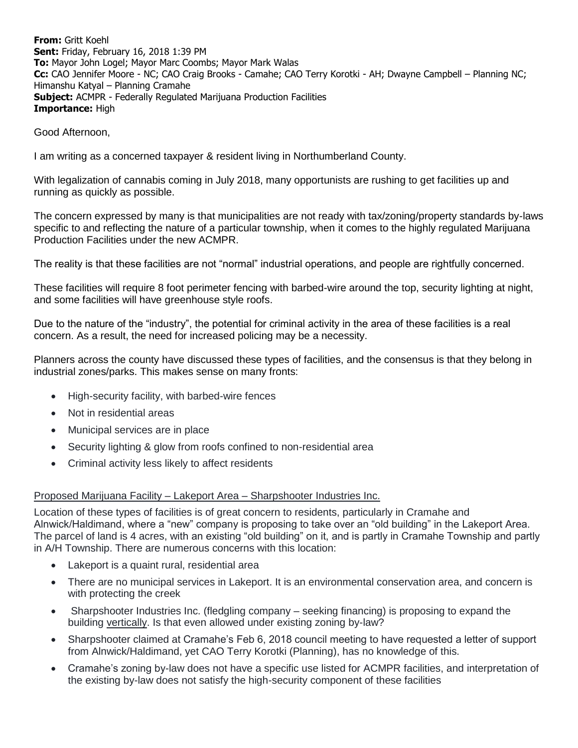**From:** Gritt Koehl **Sent:** Friday, February 16, 2018 1:39 PM **To:** Mayor John Logel; Mayor Marc Coombs; Mayor Mark Walas **Cc:** CAO Jennifer Moore - NC; CAO Craig Brooks - Camahe; CAO Terry Korotki - AH; Dwayne Campbell – Planning NC; Himanshu Katyal – Planning Cramahe **Subject:** ACMPR - Federally Regulated Marijuana Production Facilities **Importance:** High

Good Afternoon,

I am writing as a concerned taxpayer & resident living in Northumberland County.

With legalization of cannabis coming in July 2018, many opportunists are rushing to get facilities up and running as quickly as possible.

The concern expressed by many is that municipalities are not ready with tax/zoning/property standards by-laws specific to and reflecting the nature of a particular township, when it comes to the highly regulated Marijuana Production Facilities under the new ACMPR.

The reality is that these facilities are not "normal" industrial operations, and people are rightfully concerned.

These facilities will require 8 foot perimeter fencing with barbed-wire around the top, security lighting at night, and some facilities will have greenhouse style roofs.

Due to the nature of the "industry", the potential for criminal activity in the area of these facilities is a real concern. As a result, the need for increased policing may be a necessity.

Planners across the county have discussed these types of facilities, and the consensus is that they belong in industrial zones/parks. This makes sense on many fronts:

- High-security facility, with barbed-wire fences
- Not in residential areas
- Municipal services are in place
- Security lighting & glow from roofs confined to non-residential area
- Criminal activity less likely to affect residents

## Proposed Marijuana Facility – Lakeport Area – Sharpshooter Industries Inc.

Location of these types of facilities is of great concern to residents, particularly in Cramahe and Alnwick/Haldimand, where a "new" company is proposing to take over an "old building" in the Lakeport Area. The parcel of land is 4 acres, with an existing "old building" on it, and is partly in Cramahe Township and partly in A/H Township. There are numerous concerns with this location:

- Lakeport is a quaint rural, residential area
- There are no municipal services in Lakeport. It is an environmental conservation area, and concern is with protecting the creek
- Sharpshooter Industries Inc. (fledgling company seeking financing) is proposing to expand the building vertically. Is that even allowed under existing zoning by-law?
- Sharpshooter claimed at Cramahe's Feb 6, 2018 council meeting to have requested a letter of support from Alnwick/Haldimand, yet CAO Terry Korotki (Planning), has no knowledge of this.
- Cramahe's zoning by-law does not have a specific use listed for ACMPR facilities, and interpretation of the existing by-law does not satisfy the high-security component of these facilities